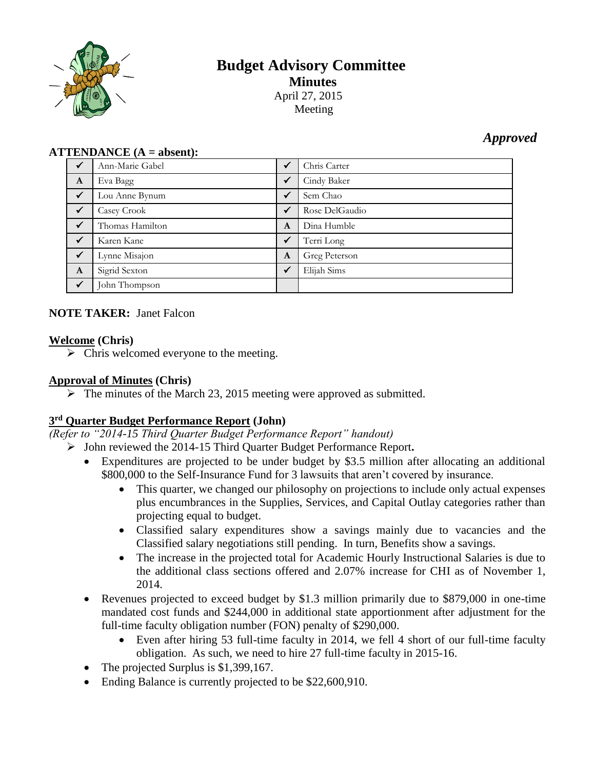

# **Budget Advisory Committee Minutes** April 27, 2015

Meeting

# *Approved*

#### **ATTENDANCE (A = absent):**

| $\checkmark$ | Ann-Marie Gabel | $\checkmark$ | Chris Carter   |
|--------------|-----------------|--------------|----------------|
| $\mathbf{A}$ | Eva Bagg        | $\checkmark$ | Cindy Baker    |
| $\checkmark$ | Lou Anne Bynum  | $\checkmark$ | Sem Chao       |
| $\checkmark$ | Casey Crook     | $\checkmark$ | Rose DelGaudio |
| $\checkmark$ | Thomas Hamilton | A            | Dina Humble    |
| $\checkmark$ | Karen Kane      | $\checkmark$ | Terri Long     |
| $\checkmark$ | Lynne Misajon   | $\mathbf{A}$ | Greg Peterson  |
| $\mathbf{A}$ | Sigrid Sexton   | $\checkmark$ | Elijah Sims    |
| $\checkmark$ | John Thompson   |              |                |

# **NOTE TAKER:** Janet Falcon

#### **Welcome (Chris)**

 $\triangleright$  Chris welcomed everyone to the meeting.

#### **Approval of Minutes (Chris)**

 $\triangleright$  The minutes of the March 23, 2015 meeting were approved as submitted.

# **3 rd Quarter Budget Performance Report (John)**

*(Refer to "2014-15 Third Quarter Budget Performance Report" handout)*

- John reviewed the 2014-15 Third Quarter Budget Performance Report**.** 
	- Expenditures are projected to be under budget by \$3.5 million after allocating an additional \$800,000 to the Self-Insurance Fund for 3 lawsuits that aren't covered by insurance.
		- This quarter, we changed our philosophy on projections to include only actual expenses plus encumbrances in the Supplies, Services, and Capital Outlay categories rather than projecting equal to budget.
		- Classified salary expenditures show a savings mainly due to vacancies and the Classified salary negotiations still pending. In turn, Benefits show a savings.
		- The increase in the projected total for Academic Hourly Instructional Salaries is due to the additional class sections offered and 2.07% increase for CHI as of November 1, 2014.
	- Revenues projected to exceed budget by \$1.3 million primarily due to \$879,000 in one-time mandated cost funds and \$244,000 in additional state apportionment after adjustment for the full-time faculty obligation number (FON) penalty of \$290,000.
		- Even after hiring 53 full-time faculty in 2014, we fell 4 short of our full-time faculty obligation. As such, we need to hire 27 full-time faculty in 2015-16.
	- The projected Surplus is \$1,399,167.
	- Ending Balance is currently projected to be \$22,600,910.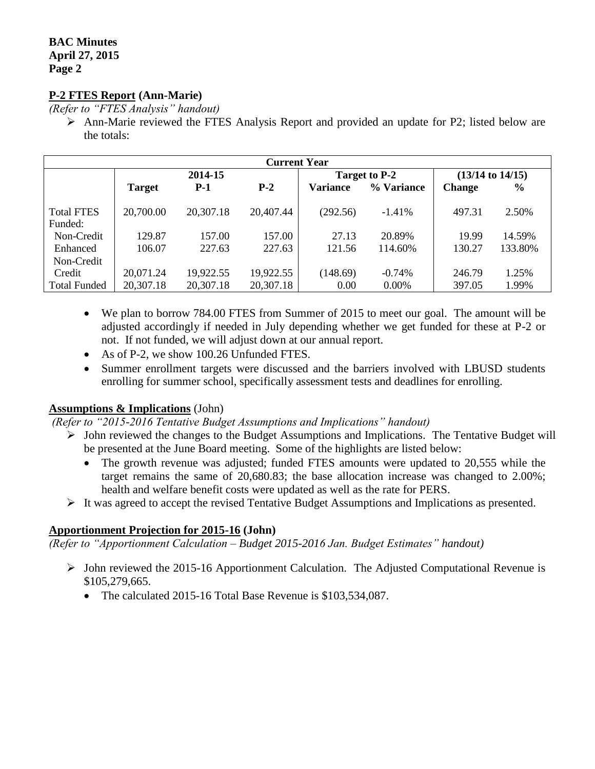### **BAC Minutes April 27, 2015 Page 2**

# **P-2 FTES Report (Ann-Marie)**

*(Refer to "FTES Analysis" handout)*

 Ann-Marie reviewed the FTES Analysis Report and provided an update for P2; listed below are the totals:

| <b>Current Year</b>          |               |           |               |                 |                      |               |               |  |  |  |
|------------------------------|---------------|-----------|---------------|-----------------|----------------------|---------------|---------------|--|--|--|
|                              | 2014-15       |           | Target to P-2 |                 | $(13/14$ to $14/15)$ |               |               |  |  |  |
|                              | <b>Target</b> | $P-1$     | $P-2$         | <b>Variance</b> | % Variance           | <b>Change</b> | $\frac{0}{0}$ |  |  |  |
| <b>Total FTES</b><br>Funded: | 20,700.00     | 20,307.18 | 20,407.44     | (292.56)        | $-1.41%$             | 497.31        | 2.50%         |  |  |  |
| Non-Credit                   | 129.87        | 157.00    | 157.00        | 27.13           | 20.89%               | 19.99         | 14.59%        |  |  |  |
| Enhanced                     | 106.07        | 227.63    | 227.63        | 121.56          | 114.60%              | 130.27        | 133.80%       |  |  |  |
| Non-Credit                   |               |           |               |                 |                      |               |               |  |  |  |
| Credit                       | 20,071.24     | 19,922.55 | 19,922.55     | (148.69)        | $-0.74\%$            | 246.79        | 1.25%         |  |  |  |
| <b>Total Funded</b>          | 20,307.18     | 20,307.18 | 20,307.18     | 0.00            | $0.00\%$             | 397.05        | 1.99%         |  |  |  |

- We plan to borrow 784.00 FTES from Summer of 2015 to meet our goal. The amount will be adjusted accordingly if needed in July depending whether we get funded for these at P-2 or not. If not funded, we will adjust down at our annual report.
- As of P-2, we show 100.26 Unfunded FTES.
- Summer enrollment targets were discussed and the barriers involved with LBUSD students enrolling for summer school, specifically assessment tests and deadlines for enrolling.

# **Assumptions & Implications** (John)

*(Refer to "2015-2016 Tentative Budget Assumptions and Implications" handout)*

- $\triangleright$  John reviewed the changes to the Budget Assumptions and Implications. The Tentative Budget will be presented at the June Board meeting. Some of the highlights are listed below:
	- The growth revenue was adjusted; funded FTES amounts were updated to 20,555 while the target remains the same of 20,680.83; the base allocation increase was changed to 2.00%; health and welfare benefit costs were updated as well as the rate for PERS.
- $\triangleright$  It was agreed to accept the revised Tentative Budget Assumptions and Implications as presented.

# **Apportionment Projection for 2015-16 (John)**

*(Refer to "Apportionment Calculation – Budget 2015-2016 Jan. Budget Estimates" handout)*

- $\triangleright$  John reviewed the 2015-16 Apportionment Calculation. The Adjusted Computational Revenue is \$105,279,665.
	- The calculated 2015-16 Total Base Revenue is \$103,534,087.